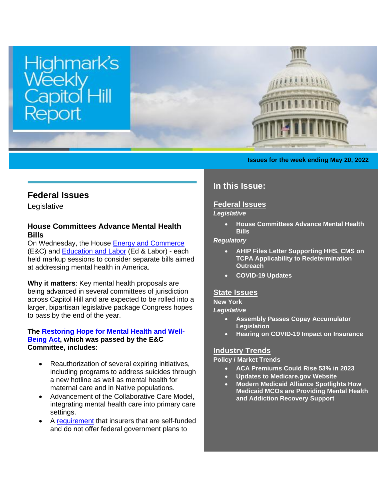

#### **Issues for the week ending May 20, 2022**

## **Federal Issues**

Legislative

## <span id="page-0-0"></span>**House Committees Advance Mental Health Bills**

On Wednesday, the House [Energy and Commerce](https://energycommerce.house.gov/committee-activity/markups/markup-of-6-bills-full-committee-may-18-2022) (E&C) and [Education and Labor](https://edlabor.house.gov/hearings/hr-604-the-reopen-and-rebuild-americas-schools-act-rrasa-hr-7701-the-wage-theft-prevention-and-wage-recovery-act-hr-5407-the-enhancing-mental-health-and-suicide-prevention-through-campus-planning-act-hr-6493-the-campus-prevention-and-recovery-services-for-students-act-of-2022-hr-7780-mental-health-matters-act) (Ed & Labor) - each held markup sessions to consider separate bills aimed at addressing mental health in America.

**Why it matters**: Key mental health proposals are being advanced in several committees of jurisdiction across Capitol Hill and are expected to be rolled into a larger, bipartisan legislative package Congress hopes to pass by the end of the year.

#### **The [Restoring Hope for Mental Health and Well-](https://www.congress.gov/bill/117th-congress/house-bill/7666/text?q=%7B%22search%22%3A%5B%22h.r.+7666%22%2C%22h.r.%22%2C%227666%22%5D%7D&r=2&s=2)[Being Act,](https://www.congress.gov/bill/117th-congress/house-bill/7666/text?q=%7B%22search%22%3A%5B%22h.r.+7666%22%2C%22h.r.%22%2C%227666%22%5D%7D&r=2&s=2) which was passed by the E&C Committee, includes**:

- Reauthorization of several expiring initiatives, including programs to address suicides through a new hotline as well as mental health for maternal care and in Native populations.
- Advancement of the Collaborative Care Model, integrating mental health care into primary care settings.
- A [requirement](https://www.congress.gov/bill/117th-congress/house-bill/7666/text?q=%7B%22search%22%3A%5B%22h.r.+7666%22%2C%22h.r.%22%2C%227666%22%5D%7D&r=2&s=2#toc-H062BE7C31D644813974921C782D19F9B) that insurers that are self-funded and do not offer federal government plans to

# **In this Issue:**

### **[Federal Issues](http://images.bipac.net/Files/email/highmark/index.html#1)**

## *Legislative*

• **[House Committees Advance Mental Health](#page-0-0)  [Bills](#page-0-0)**

#### *Regulatory*

- **AHIP Files [Letter Supporting HHS, CMS on](#page-1-0)  [TCPA Applicability to Redetermination](#page-1-0)  [Outreach](#page-1-0)**
- **[COVID-19](#page-2-0) Updates**

### **[State Issues](http://images.bipac.net/Files/email/highmark/index.html#2)**

### **New York**

*Legislative*

- **[Assembly Passes Copay Accumulator](#page-2-1)  [Legislation](#page-2-1)**
- **[Hearing on COVID-19 Impact on Insurance](#page-3-0)**

### **Industry Trends**

#### **Policy / Market Trends**

- **[ACA Premiums Could Rise 53% in 2023](#page-3-1)**
- **[Updates to Medicare.gov Website](#page-3-2)**
- **[Modern Medicaid Alliance Spotlights How](#page-4-0)  [Medicaid MCOs are Providing Mental Health](#page-4-0)  [and Addiction Recovery Support](#page-4-0)**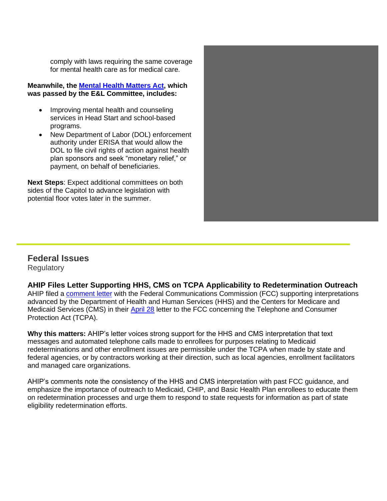comply with laws requiring the same coverage for mental health care as for medical care.

#### **Meanwhile, the [Mental Health Matters Act,](https://docs.house.gov/meetings/ED/ED00/20220518/114805/BILLS-1177780ih.pdf) which was passed by the E&L Committee, includes:**

- Improving mental health and counseling services in Head Start and school-based programs.
- New Department of Labor (DOL) enforcement authority under ERISA that would allow the DOL to file civil rights of action against health plan sponsors and seek "monetary relief," or payment, on behalf of beneficiaries.

**Next Steps**: Expect additional committees on both sides of the Capitol to advance legislation with potential floor votes later in the summer.



# **Federal Issues**

**Regulatory** 

<span id="page-1-0"></span>**AHIP Files Letter Supporting HHS, CMS on TCPA Applicability to Redetermination Outreach**

AHIP filed a [comment letter](http://ahip.informz.net/z/cjUucD9taT0yNDkxMTY1JnA9MSZ1PTUxOTA2NDUzOCZsaT0yNTE0MzUyMA/index.html) with the Federal Communications Commission (FCC) supporting interpretations advanced by the Department of Health and Human Services (HHS) and the Centers for Medicare and Medicaid Services (CMS) in their [April 28](http://ahip.informz.net/z/cjUucD9taT0yNDkxMTY1JnA9MSZ1PTUxOTA2NDUzOCZsaT0yNTE0MzUyMg/index.html) letter to the FCC concerning the Telephone and Consumer Protection Act (TCPA).

**Why this matters:** AHIP's letter voices strong support for the HHS and CMS interpretation that text messages and automated telephone calls made to enrollees for purposes relating to Medicaid redeterminations and other enrollment issues are permissible under the TCPA when made by state and federal agencies, or by contractors working at their direction, such as local agencies, enrollment facilitators and managed care organizations.

AHIP's comments note the consistency of the HHS and CMS interpretation with past FCC guidance, and emphasize the importance of outreach to Medicaid, CHIP, and Basic Health Plan enrollees to educate them on redetermination processes and urge them to respond to state requests for information as part of state eligibility redetermination efforts.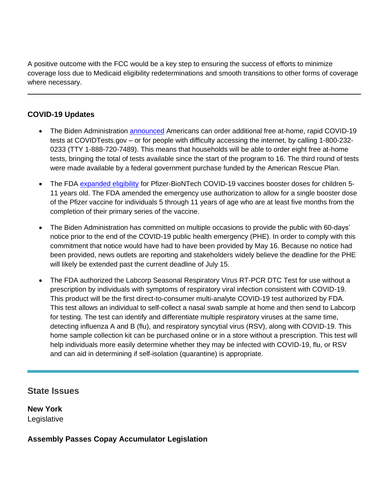A positive outcome with the FCC would be a key step to ensuring the success of efforts to minimize coverage loss due to Medicaid eligibility redeterminations and smooth transitions to other forms of coverage where necessary.

## <span id="page-2-0"></span>**COVID-19 Updates**

- The Biden Administration **announced** Americans can order additional free at-home, rapid COVID-19 tests at COVIDTests.gov – or for people with difficulty accessing the internet, by calling 1-800-232- 0233 (TTY 1-888-720-7489). This means that households will be able to order eight free at-home tests, bringing the total of tests available since the start of the program to 16. The third round of tests were made available by a federal government purchase funded by the American Rescue Plan.
- The FDA [expanded eligibility](http://ahip.informz.net/z/cjUucD9taT0yNDkxMTY1JnA9MSZ1PTUxOTA2NDUzOCZsaT0yNTE0MzUyNA/index.html) for Pfizer-BioNTech COVID-19 vaccines booster doses for children 5-11 years old. The FDA amended the emergency use authorization to allow for a single booster dose of the Pfizer vaccine for individuals 5 through 11 years of age who are at least five months from the completion of their primary series of the vaccine.
- The Biden Administration has committed on multiple occasions to provide the public with 60-days' notice prior to the end of the COVID-19 public health emergency (PHE). In order to comply with this commitment that notice would have had to have been provided by May 16. Because no notice had been provided, news outlets are reporting and stakeholders widely believe the deadline for the PHE will likely be extended past the current deadline of July 15.
- The FDA authorized the Labcorp Seasonal Respiratory Virus RT-PCR DTC Test for use without a prescription by individuals with symptoms of respiratory viral infection consistent with COVID-19. This product will be the first direct-to-consumer multi-analyte COVID-19 test authorized by FDA. This test allows an individual to self-collect a nasal swab sample at home and then send to Labcorp for testing. The test can identify and differentiate multiple respiratory viruses at the same time, detecting influenza A and B (flu), and respiratory syncytial virus (RSV), along with COVID-19. This home sample collection kit can be purchased online or in a store without a prescription. This test will help individuals more easily determine whether they may be infected with COVID-19, flu, or RSV and can aid in determining if self-isolation (quarantine) is appropriate.

# **State Issues**

**New York** Legislative

## <span id="page-2-1"></span>**Assembly Passes Copay Accumulator Legislation**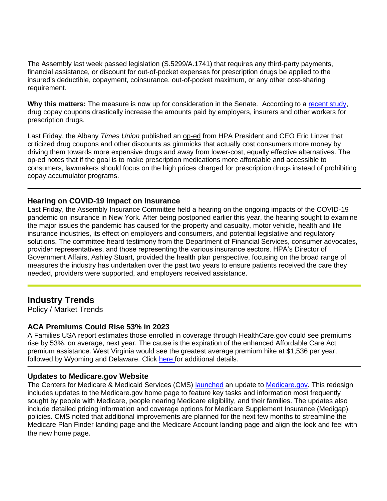The Assembly last week passed legislation (S.5299/A.1741) that requires any third-party payments, financial assistance, or discount for out-of-pocket expenses for prescription drugs be applied to the insured's deductible, copayment, coinsurance, out-of-pocket maximum, or any other cost-sharing requirement.

Why this matters: The measure is now up for consideration in the Senate. According to a [recent study,](https://www.nber.org/system/files/working_papers/w29735/w29735.pdf?utm_source=newsletter&utm_medium=email&utm_campaign=newsletter_axiosvitals&stream=top) drug copay coupons drastically increase the amounts paid by employers, insurers and other workers for prescription drugs.

Last Friday, the Albany *Times Union* published an [op-ed](https://secure-web.cisco.com/1w94Q__ms-uGPFvbh19BemKnmNhTcJwYXHUZa9ZuCs3yydiDI51BeKaWqNqqviSPT2KwAJKTlxNX9yaJxST_kBbD_7xcby9FuDfg3y7ldHgoPDcpAYsRJ7_UnRHrNAFCrjLTOcenIQs9YS__mN7YOZwhWlC6BnqO5bQKE7Nz2bsmMATZekCtynjRQsp4j-Kn6rwfTt6Xmqpo0eDUSroFuXxOjppAnMR405YO5amfLwjVFs4-gJzhv1JqjewTzplQP8L25GApGtD6d5sKhgbX3KQa-cnEc2SzPoCPNOPPMn6kGGV4taReD4wwbwW78Us7z/https%3A%2F%2Fnyhpa.us15.list-manage.com%2Ftrack%2Fclick%3Fu%3Db77e0923700d547aa4640b092%26id%3Db1c938edef%26e%3D16fec37c74) from HPA President and CEO Eric Linzer that criticized drug coupons and other discounts as gimmicks that actually cost consumers more money by driving them towards more expensive drugs and away from lower-cost, equally effective alternatives. The op-ed notes that if the goal is to make prescription medications more affordable and accessible to consumers, lawmakers should focus on the high prices charged for prescription drugs instead of prohibiting copay accumulator programs.

### <span id="page-3-0"></span>**Hearing on COVID-19 Impact on Insurance**

Last Friday, the Assembly Insurance Committee held a hearing on the ongoing impacts of the COVID-19 pandemic on insurance in New York. After being postponed earlier this year, the hearing sought to examine the major issues the pandemic has caused for the property and casualty, motor vehicle, health and life insurance industries, its effect on employers and consumers, and potential legislative and regulatory solutions. The committee heard testimony from the Department of Financial Services, consumer advocates, provider representatives, and those representing the various insurance sectors. HPA's Director of Government Affairs, Ashley Stuart, provided the health plan perspective, focusing on the broad range of measures the industry has undertaken over the past two years to ensure patients received the care they needed, providers were supported, and employers received assistance.

# **Industry Trends**

Policy / Market Trends

### <span id="page-3-1"></span>**ACA Premiums Could Rise 53% in 2023**

A Families USA report estimates those enrolled in coverage through HealthCare.gov could see premiums rise by 53%, on average, next year. The cause is the expiration of the enhanced Affordable Care Act premium assistance. West Virginia would see the greatest average premium hike at \$1,536 per year, followed by Wyoming and Delaware. Click [here](https://www.businessinsider.com/west-virginians-obamacare-premiums-spike-manchin-blocks-biden-agenda-2022-5) for additional details.

### <span id="page-3-2"></span>**Updates to Medicare.gov Website**

The Centers for Medicare & Medicaid Services (CMS) **launched** an update to **Medicare.gov**. This redesign includes updates to the Medicare.gov home page to feature key tasks and information most frequently sought by people with Medicare, people nearing Medicare eligibility, and their families. The updates also include detailed pricing information and coverage options for Medicare Supplement Insurance (Medigap) policies. CMS noted that additional improvements are planned for the next few months to streamline the Medicare Plan Finder landing page and the Medicare Account landing page and align the look and feel with the new home page.